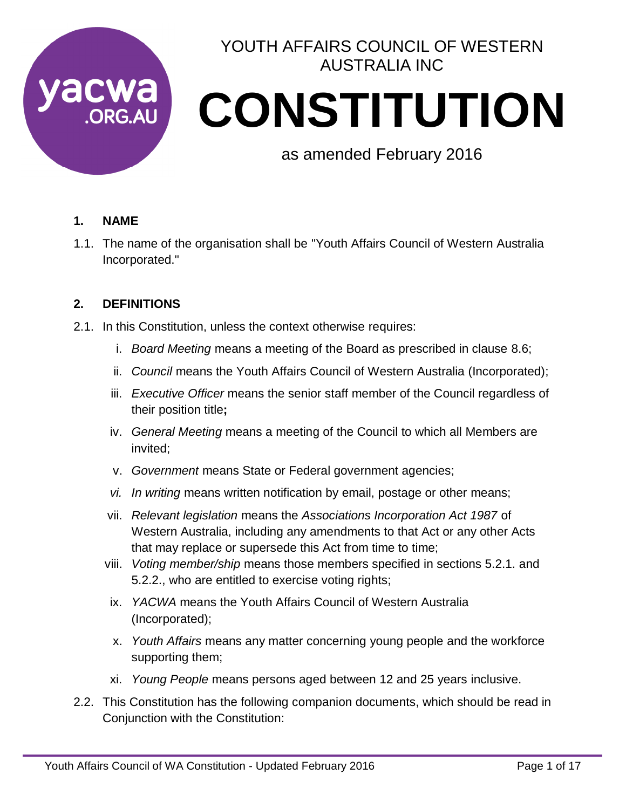

# YOUTH AFFAIRS COUNCIL OF WESTERN AUSTRALIA INC

# CWA CONSTITUTION

as amended February 2016

# **1. NAME**

1.1. The name of the organisation shall be "Youth Affairs Council of Western Australia Incorporated."

# **2. DEFINITIONS**

- 2.1. In this Constitution, unless the context otherwise requires:
	- i. *Board Meeting* means a meeting of the Board as prescribed in clause 8.6;
	- ii. *Council* means the Youth Affairs Council of Western Australia (Incorporated);
	- iii. *Executive Officer* means the senior staff member of the Council regardless of their position title**;**
	- iv. *General Meeting* means a meeting of the Council to which all Members are invited;
	- v. *Government* means State or Federal government agencies;
	- *vi. In writing* means written notification by email, postage or other means;
	- vii. *Relevant legislation* means the *Associations Incorporation Act 1987* of Western Australia, including any amendments to that Act or any other Acts that may replace or supersede this Act from time to time;
	- viii. *Voting member/ship* means those members specified in sections 5.2.1. and 5.2.2., who are entitled to exercise voting rights;
	- ix. *YACWA* means the Youth Affairs Council of Western Australia (Incorporated);
	- x. *Youth Affairs* means any matter concerning young people and the workforce supporting them;
	- xi. *Young People* means persons aged between 12 and 25 years inclusive.
- 2.2. This Constitution has the following companion documents, which should be read in Conjunction with the Constitution: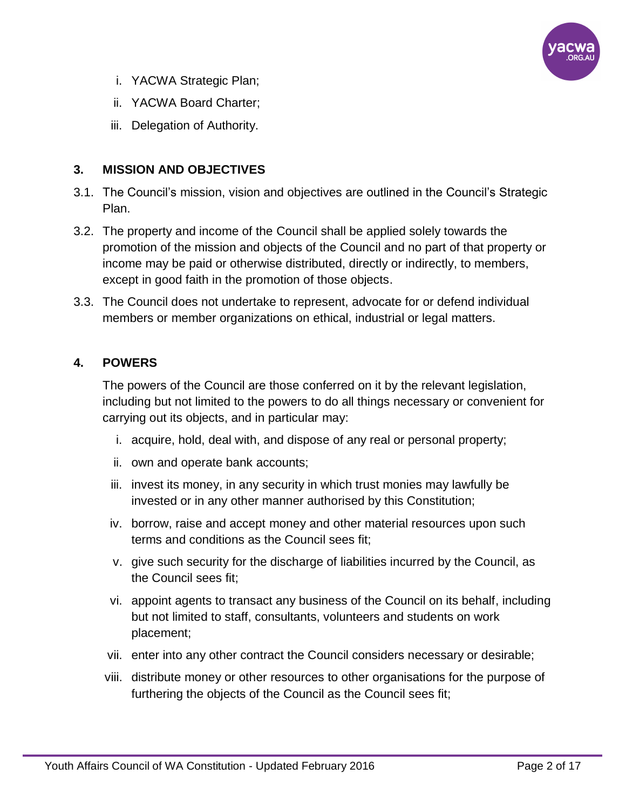

- i. YACWA Strategic Plan;
- ii. YACWA Board Charter;
- iii. Delegation of Authority.

# **3. MISSION AND OBJECTIVES**

- 3.1. The Council's mission, vision and objectives are outlined in the Council's Strategic Plan.
- 3.2. The property and income of the Council shall be applied solely towards the promotion of the mission and objects of the Council and no part of that property or income may be paid or otherwise distributed, directly or indirectly, to members, except in good faith in the promotion of those objects.
- 3.3. The Council does not undertake to represent, advocate for or defend individual members or member organizations on ethical, industrial or legal matters.

# **4. POWERS**

The powers of the Council are those conferred on it by the relevant legislation, including but not limited to the powers to do all things necessary or convenient for carrying out its objects, and in particular may:

- i. acquire, hold, deal with, and dispose of any real or personal property;
- ii. own and operate bank accounts;
- iii. invest its money, in any security in which trust monies may lawfully be invested or in any other manner authorised by this Constitution;
- iv. borrow, raise and accept money and other material resources upon such terms and conditions as the Council sees fit;
- v. give such security for the discharge of liabilities incurred by the Council, as the Council sees fit;
- vi. appoint agents to transact any business of the Council on its behalf, including but not limited to staff, consultants, volunteers and students on work placement;
- vii. enter into any other contract the Council considers necessary or desirable;
- viii. distribute money or other resources to other organisations for the purpose of furthering the objects of the Council as the Council sees fit;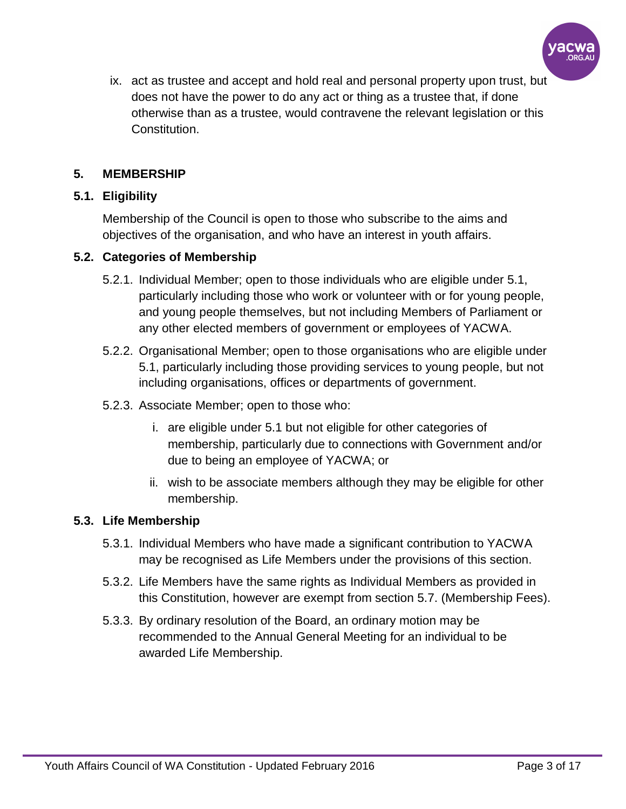

ix. act as trustee and accept and hold real and personal property upon trust, but does not have the power to do any act or thing as a trustee that, if done otherwise than as a trustee, would contravene the relevant legislation or this Constitution.

## **5. MEMBERSHIP**

# **5.1. Eligibility**

Membership of the Council is open to those who subscribe to the aims and objectives of the organisation, and who have an interest in youth affairs.

# **5.2. Categories of Membership**

- 5.2.1. Individual Member; open to those individuals who are eligible under 5.1, particularly including those who work or volunteer with or for young people, and young people themselves, but not including Members of Parliament or any other elected members of government or employees of YACWA.
- 5.2.2. Organisational Member; open to those organisations who are eligible under 5.1, particularly including those providing services to young people, but not including organisations, offices or departments of government.
- 5.2.3. Associate Member; open to those who:
	- i. are eligible under 5.1 but not eligible for other categories of membership, particularly due to connections with Government and/or due to being an employee of YACWA; or
	- ii. wish to be associate members although they may be eligible for other membership.

## **5.3. Life Membership**

- 5.3.1. Individual Members who have made a significant contribution to YACWA may be recognised as Life Members under the provisions of this section.
- 5.3.2. Life Members have the same rights as Individual Members as provided in this Constitution, however are exempt from section 5.7. (Membership Fees).
- 5.3.3. By ordinary resolution of the Board, an ordinary motion may be recommended to the Annual General Meeting for an individual to be awarded Life Membership.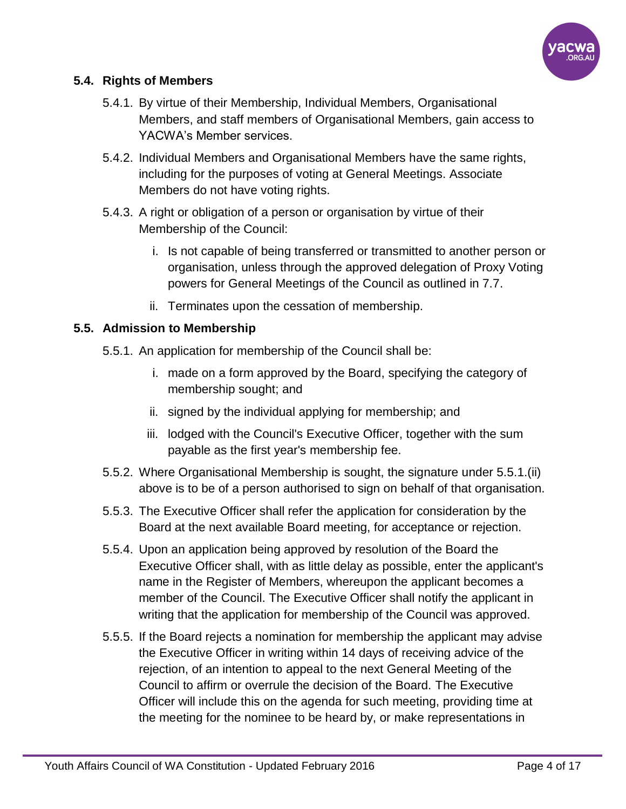

# **5.4. Rights of Members**

- 5.4.1. By virtue of their Membership, Individual Members, Organisational Members, and staff members of Organisational Members, gain access to YACWA's Member services.
- 5.4.2. Individual Members and Organisational Members have the same rights, including for the purposes of voting at General Meetings. Associate Members do not have voting rights.
- 5.4.3. A right or obligation of a person or organisation by virtue of their Membership of the Council:
	- i. Is not capable of being transferred or transmitted to another person or organisation, unless through the approved delegation of Proxy Voting powers for General Meetings of the Council as outlined in 7.7.
	- ii. Terminates upon the cessation of membership.

# **5.5. Admission to Membership**

- 5.5.1. An application for membership of the Council shall be:
	- i. made on a form approved by the Board, specifying the category of membership sought; and
	- ii. signed by the individual applying for membership; and
	- iii. lodged with the Council's Executive Officer, together with the sum payable as the first year's membership fee.
- 5.5.2. Where Organisational Membership is sought, the signature under 5.5.1.(ii) above is to be of a person authorised to sign on behalf of that organisation.
- 5.5.3. The Executive Officer shall refer the application for consideration by the Board at the next available Board meeting, for acceptance or rejection.
- 5.5.4. Upon an application being approved by resolution of the Board the Executive Officer shall, with as little delay as possible, enter the applicant's name in the Register of Members, whereupon the applicant becomes a member of the Council. The Executive Officer shall notify the applicant in writing that the application for membership of the Council was approved.
- 5.5.5. If the Board rejects a nomination for membership the applicant may advise the Executive Officer in writing within 14 days of receiving advice of the rejection, of an intention to appeal to the next General Meeting of the Council to affirm or overrule the decision of the Board. The Executive Officer will include this on the agenda for such meeting, providing time at the meeting for the nominee to be heard by, or make representations in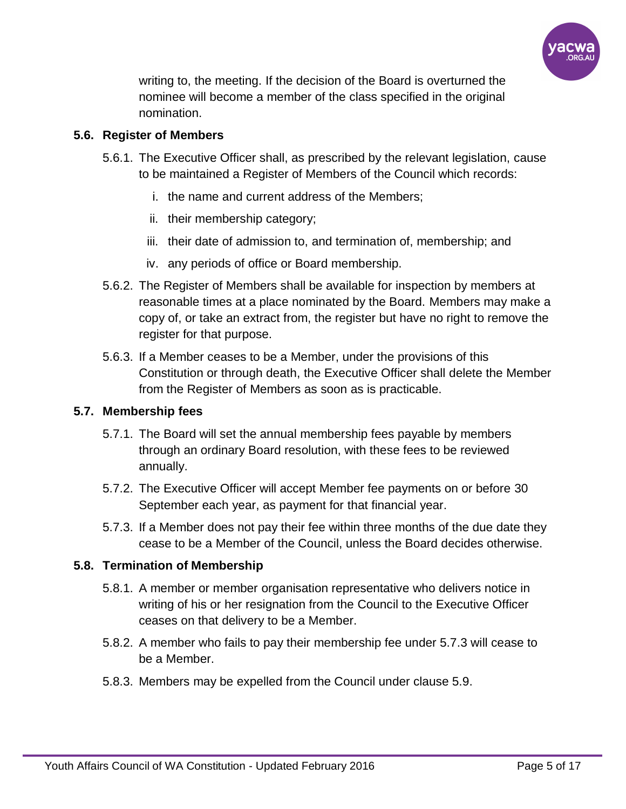

writing to, the meeting. If the decision of the Board is overturned the nominee will become a member of the class specified in the original nomination.

# **5.6. Register of Members**

- 5.6.1. The Executive Officer shall, as prescribed by the relevant legislation, cause to be maintained a Register of Members of the Council which records:
	- i. the name and current address of the Members;
	- ii. their membership category;
	- iii. their date of admission to, and termination of, membership; and
	- iv. any periods of office or Board membership.
- 5.6.2. The Register of Members shall be available for inspection by members at reasonable times at a place nominated by the Board. Members may make a copy of, or take an extract from, the register but have no right to remove the register for that purpose.
- 5.6.3. If a Member ceases to be a Member, under the provisions of this Constitution or through death, the Executive Officer shall delete the Member from the Register of Members as soon as is practicable.

# **5.7. Membership fees**

- 5.7.1. The Board will set the annual membership fees payable by members through an ordinary Board resolution, with these fees to be reviewed annually.
- 5.7.2. The Executive Officer will accept Member fee payments on or before 30 September each year, as payment for that financial year.
- 5.7.3. If a Member does not pay their fee within three months of the due date they cease to be a Member of the Council, unless the Board decides otherwise.

# **5.8. Termination of Membership**

- 5.8.1. A member or member organisation representative who delivers notice in writing of his or her resignation from the Council to the Executive Officer ceases on that delivery to be a Member.
- 5.8.2. A member who fails to pay their membership fee under 5.7.3 will cease to be a Member.
- 5.8.3. Members may be expelled from the Council under clause 5.9.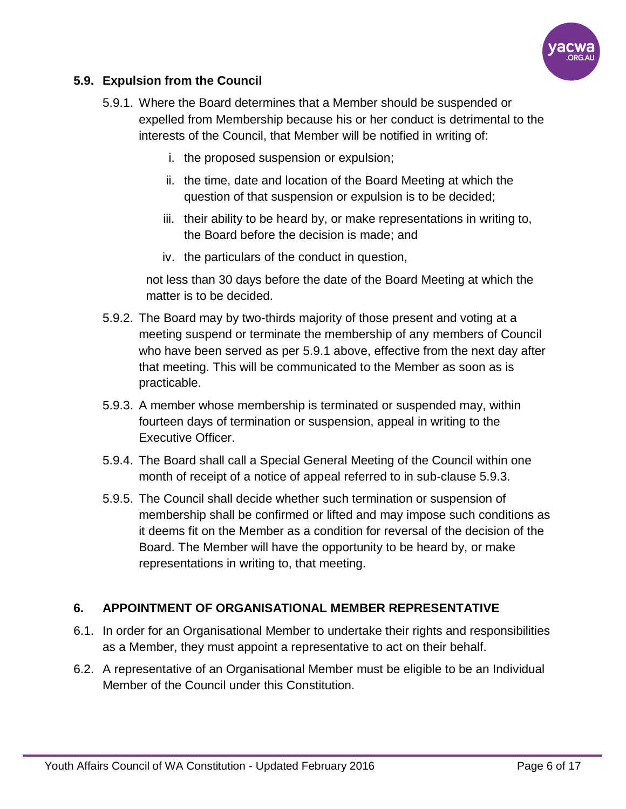

## **5.9. Expulsion from the Council**

- 5.9.1. Where the Board determines that a Member should be suspended or expelled from Membership because his or her conduct is detrimental to the interests of the Council, that Member will be notified in writing of:
	- i. the proposed suspension or expulsion;
	- ii. the time, date and location of the Board Meeting at which the question of that suspension or expulsion is to be decided;
	- iii. their ability to be heard by, or make representations in writing to, the Board before the decision is made; and
	- iv. the particulars of the conduct in question,

not less than 30 days before the date of the Board Meeting at which the matter is to be decided.

- 5.9.2. The Board may by two-thirds majority of those present and voting at a meeting suspend or terminate the membership of any members of Council who have been served as per 5.9.1 above, effective from the next day after that meeting. This will be communicated to the Member as soon as is practicable.
- 5.9.3. A member whose membership is terminated or suspended may, within fourteen days of termination or suspension, appeal in writing to the Executive Officer.
- 5.9.4. The Board shall call a Special General Meeting of the Council within one month of receipt of a notice of appeal referred to in sub-clause 5.9.3.
- 5.9.5. The Council shall decide whether such termination or suspension of membership shall be confirmed or lifted and may impose such conditions as it deems fit on the Member as a condition for reversal of the decision of the Board. The Member will have the opportunity to be heard by, or make representations in writing to, that meeting.

## **6. APPOINTMENT OF ORGANISATIONAL MEMBER REPRESENTATIVE**

- 6.1. In order for an Organisational Member to undertake their rights and responsibilities as a Member, they must appoint a representative to act on their behalf.
- 6.2. A representative of an Organisational Member must be eligible to be an Individual Member of the Council under this Constitution.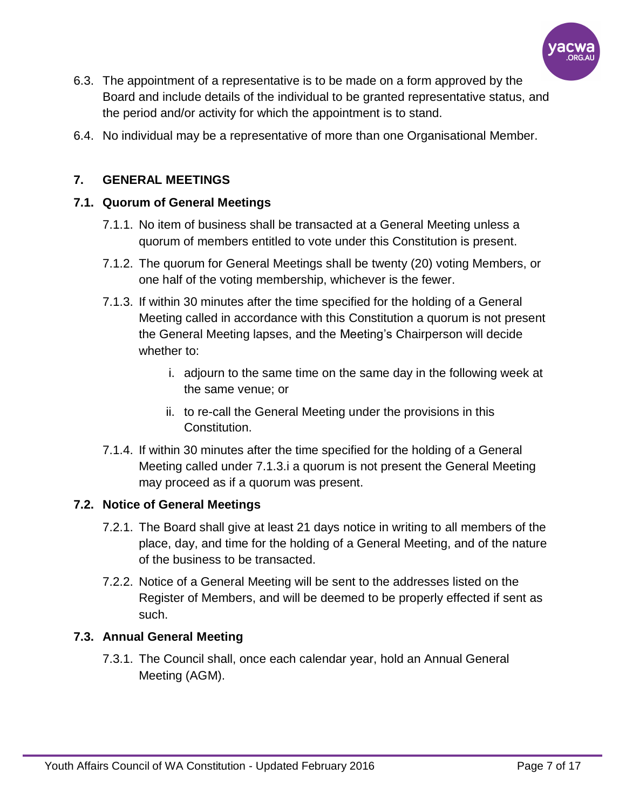

- 6.3. The appointment of a representative is to be made on a form approved by the Board and include details of the individual to be granted representative status, and the period and/or activity for which the appointment is to stand.
- 6.4. No individual may be a representative of more than one Organisational Member.

# **7. GENERAL MEETINGS**

## **7.1. Quorum of General Meetings**

- 7.1.1. No item of business shall be transacted at a General Meeting unless a quorum of members entitled to vote under this Constitution is present.
- 7.1.2. The quorum for General Meetings shall be twenty (20) voting Members, or one half of the voting membership, whichever is the fewer.
- 7.1.3. If within 30 minutes after the time specified for the holding of a General Meeting called in accordance with this Constitution a quorum is not present the General Meeting lapses, and the Meeting's Chairperson will decide whether to:
	- i. adjourn to the same time on the same day in the following week at the same venue; or
	- ii. to re-call the General Meeting under the provisions in this Constitution.
- 7.1.4. If within 30 minutes after the time specified for the holding of a General Meeting called under 7.1.3.i a quorum is not present the General Meeting may proceed as if a quorum was present.

## **7.2. Notice of General Meetings**

- 7.2.1. The Board shall give at least 21 days notice in writing to all members of the place, day, and time for the holding of a General Meeting, and of the nature of the business to be transacted.
- 7.2.2. Notice of a General Meeting will be sent to the addresses listed on the Register of Members, and will be deemed to be properly effected if sent as such.

# **7.3. Annual General Meeting**

7.3.1. The Council shall, once each calendar year, hold an Annual General Meeting (AGM).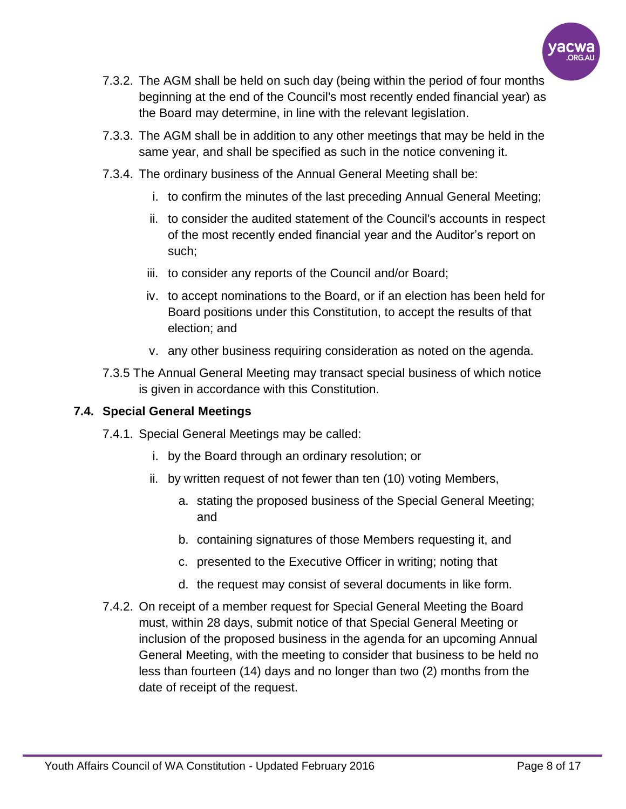

- 7.3.2. The AGM shall be held on such day (being within the period of four months beginning at the end of the Council's most recently ended financial year) as the Board may determine, in line with the relevant legislation.
- 7.3.3. The AGM shall be in addition to any other meetings that may be held in the same year, and shall be specified as such in the notice convening it.
- 7.3.4. The ordinary business of the Annual General Meeting shall be:
	- i. to confirm the minutes of the last preceding Annual General Meeting;
	- ii. to consider the audited statement of the Council's accounts in respect of the most recently ended financial year and the Auditor's report on such;
	- iii. to consider any reports of the Council and/or Board;
	- iv. to accept nominations to the Board, or if an election has been held for Board positions under this Constitution, to accept the results of that election; and
	- v. any other business requiring consideration as noted on the agenda.
- 7.3.5 The Annual General Meeting may transact special business of which notice is given in accordance with this Constitution.

#### **7.4. Special General Meetings**

- 7.4.1. Special General Meetings may be called:
	- i. by the Board through an ordinary resolution; or
	- ii. by written request of not fewer than ten (10) voting Members,
		- a. stating the proposed business of the Special General Meeting; and
		- b. containing signatures of those Members requesting it, and
		- c. presented to the Executive Officer in writing; noting that
		- d. the request may consist of several documents in like form.
- 7.4.2. On receipt of a member request for Special General Meeting the Board must, within 28 days, submit notice of that Special General Meeting or inclusion of the proposed business in the agenda for an upcoming Annual General Meeting, with the meeting to consider that business to be held no less than fourteen (14) days and no longer than two (2) months from the date of receipt of the request.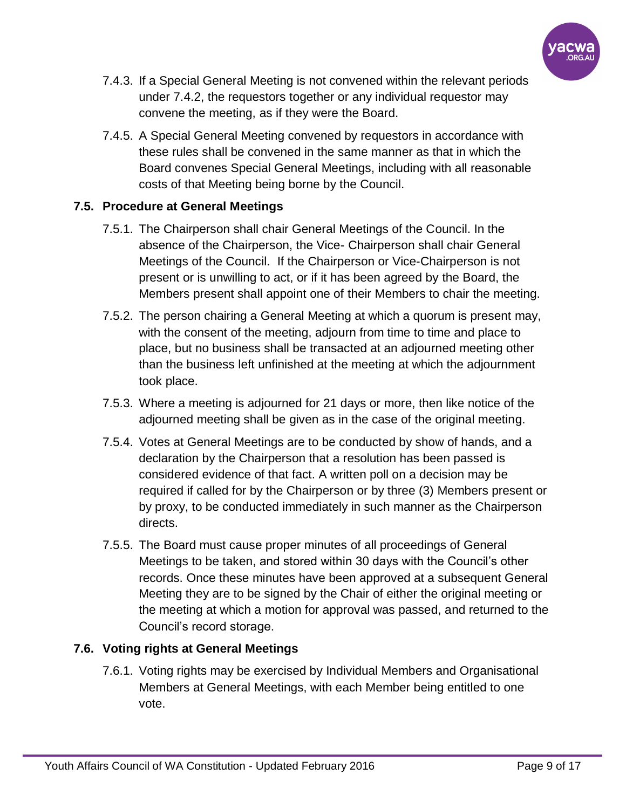

- 7.4.3. If a Special General Meeting is not convened within the relevant periods under 7.4.2, the requestors together or any individual requestor may convene the meeting, as if they were the Board.
- 7.4.5. A Special General Meeting convened by requestors in accordance with these rules shall be convened in the same manner as that in which the Board convenes Special General Meetings, including with all reasonable costs of that Meeting being borne by the Council.

# **7.5. Procedure at General Meetings**

- 7.5.1. The Chairperson shall chair General Meetings of the Council. In the absence of the Chairperson, the Vice- Chairperson shall chair General Meetings of the Council. If the Chairperson or Vice-Chairperson is not present or is unwilling to act, or if it has been agreed by the Board, the Members present shall appoint one of their Members to chair the meeting.
- 7.5.2. The person chairing a General Meeting at which a quorum is present may, with the consent of the meeting, adjourn from time to time and place to place, but no business shall be transacted at an adjourned meeting other than the business left unfinished at the meeting at which the adjournment took place.
- 7.5.3. Where a meeting is adjourned for 21 days or more, then like notice of the adjourned meeting shall be given as in the case of the original meeting.
- 7.5.4. Votes at General Meetings are to be conducted by show of hands, and a declaration by the Chairperson that a resolution has been passed is considered evidence of that fact. A written poll on a decision may be required if called for by the Chairperson or by three (3) Members present or by proxy, to be conducted immediately in such manner as the Chairperson directs.
- 7.5.5. The Board must cause proper minutes of all proceedings of General Meetings to be taken, and stored within 30 days with the Council's other records. Once these minutes have been approved at a subsequent General Meeting they are to be signed by the Chair of either the original meeting or the meeting at which a motion for approval was passed, and returned to the Council's record storage.

# **7.6. Voting rights at General Meetings**

7.6.1. Voting rights may be exercised by Individual Members and Organisational Members at General Meetings, with each Member being entitled to one vote.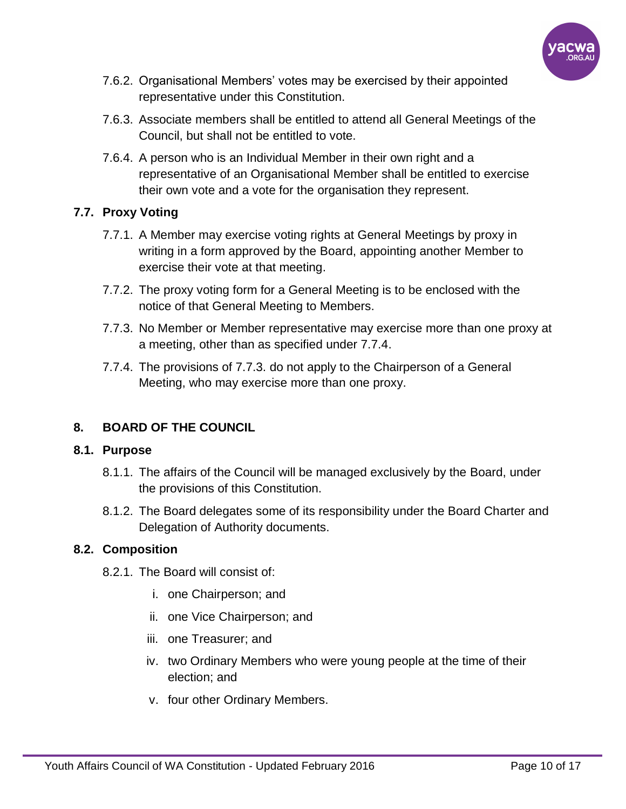

- 7.6.2. Organisational Members' votes may be exercised by their appointed representative under this Constitution.
- 7.6.3. Associate members shall be entitled to attend all General Meetings of the Council, but shall not be entitled to vote.
- 7.6.4. A person who is an Individual Member in their own right and a representative of an Organisational Member shall be entitled to exercise their own vote and a vote for the organisation they represent.

# **7.7. Proxy Voting**

- 7.7.1. A Member may exercise voting rights at General Meetings by proxy in writing in a form approved by the Board, appointing another Member to exercise their vote at that meeting.
- 7.7.2. The proxy voting form for a General Meeting is to be enclosed with the notice of that General Meeting to Members.
- 7.7.3. No Member or Member representative may exercise more than one proxy at a meeting, other than as specified under 7.7.4.
- 7.7.4. The provisions of 7.7.3. do not apply to the Chairperson of a General Meeting, who may exercise more than one proxy.

# **8. BOARD OF THE COUNCIL**

## **8.1. Purpose**

- 8.1.1. The affairs of the Council will be managed exclusively by the Board, under the provisions of this Constitution.
- 8.1.2. The Board delegates some of its responsibility under the Board Charter and Delegation of Authority documents.

# **8.2. Composition**

- 8.2.1. The Board will consist of:
	- i. one Chairperson; and
	- ii. one Vice Chairperson; and
	- iii. one Treasurer; and
	- iv. two Ordinary Members who were young people at the time of their election; and
	- v. four other Ordinary Members.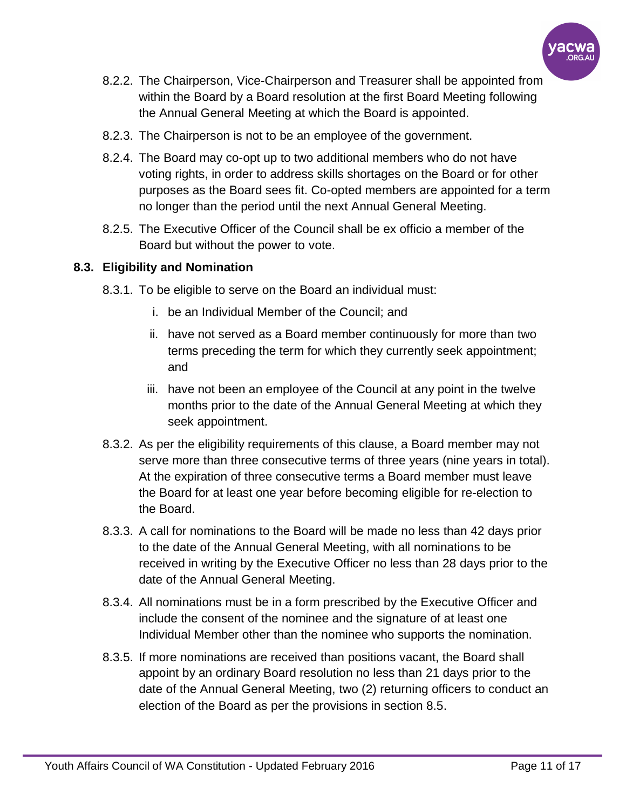

- 8.2.2. The Chairperson, Vice-Chairperson and Treasurer shall be appointed from within the Board by a Board resolution at the first Board Meeting following the Annual General Meeting at which the Board is appointed.
- 8.2.3. The Chairperson is not to be an employee of the government.
- 8.2.4. The Board may co-opt up to two additional members who do not have voting rights, in order to address skills shortages on the Board or for other purposes as the Board sees fit. Co-opted members are appointed for a term no longer than the period until the next Annual General Meeting.
- 8.2.5. The Executive Officer of the Council shall be ex officio a member of the Board but without the power to vote.

#### **8.3. Eligibility and Nomination**

- 8.3.1. To be eligible to serve on the Board an individual must:
	- i. be an Individual Member of the Council; and
	- ii. have not served as a Board member continuously for more than two terms preceding the term for which they currently seek appointment; and
	- iii. have not been an employee of the Council at any point in the twelve months prior to the date of the Annual General Meeting at which they seek appointment.
- 8.3.2. As per the eligibility requirements of this clause, a Board member may not serve more than three consecutive terms of three years (nine years in total). At the expiration of three consecutive terms a Board member must leave the Board for at least one year before becoming eligible for re-election to the Board.
- 8.3.3. A call for nominations to the Board will be made no less than 42 days prior to the date of the Annual General Meeting, with all nominations to be received in writing by the Executive Officer no less than 28 days prior to the date of the Annual General Meeting.
- 8.3.4. All nominations must be in a form prescribed by the Executive Officer and include the consent of the nominee and the signature of at least one Individual Member other than the nominee who supports the nomination.
- 8.3.5. If more nominations are received than positions vacant, the Board shall appoint by an ordinary Board resolution no less than 21 days prior to the date of the Annual General Meeting, two (2) returning officers to conduct an election of the Board as per the provisions in section 8.5.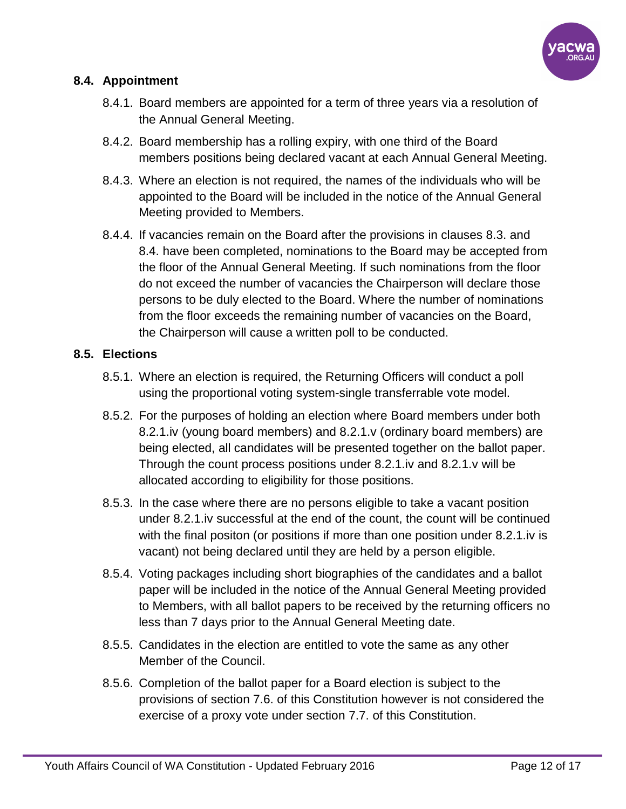

# **8.4. Appointment**

- 8.4.1. Board members are appointed for a term of three years via a resolution of the Annual General Meeting.
- 8.4.2. Board membership has a rolling expiry, with one third of the Board members positions being declared vacant at each Annual General Meeting.
- 8.4.3. Where an election is not required, the names of the individuals who will be appointed to the Board will be included in the notice of the Annual General Meeting provided to Members.
- 8.4.4. If vacancies remain on the Board after the provisions in clauses 8.3. and 8.4. have been completed, nominations to the Board may be accepted from the floor of the Annual General Meeting. If such nominations from the floor do not exceed the number of vacancies the Chairperson will declare those persons to be duly elected to the Board. Where the number of nominations from the floor exceeds the remaining number of vacancies on the Board, the Chairperson will cause a written poll to be conducted.

## **8.5. Elections**

- 8.5.1. Where an election is required, the Returning Officers will conduct a poll using the proportional voting system-single transferrable vote model.
- 8.5.2. For the purposes of holding an election where Board members under both 8.2.1.iv (young board members) and 8.2.1.v (ordinary board members) are being elected, all candidates will be presented together on the ballot paper. Through the count process positions under 8.2.1.iv and 8.2.1.v will be allocated according to eligibility for those positions.
- 8.5.3. In the case where there are no persons eligible to take a vacant position under 8.2.1.iv successful at the end of the count, the count will be continued with the final positon (or positions if more than one position under 8.2.1.iv is vacant) not being declared until they are held by a person eligible.
- 8.5.4. Voting packages including short biographies of the candidates and a ballot paper will be included in the notice of the Annual General Meeting provided to Members, with all ballot papers to be received by the returning officers no less than 7 days prior to the Annual General Meeting date.
- 8.5.5. Candidates in the election are entitled to vote the same as any other Member of the Council.
- 8.5.6. Completion of the ballot paper for a Board election is subject to the provisions of section 7.6. of this Constitution however is not considered the exercise of a proxy vote under section 7.7. of this Constitution.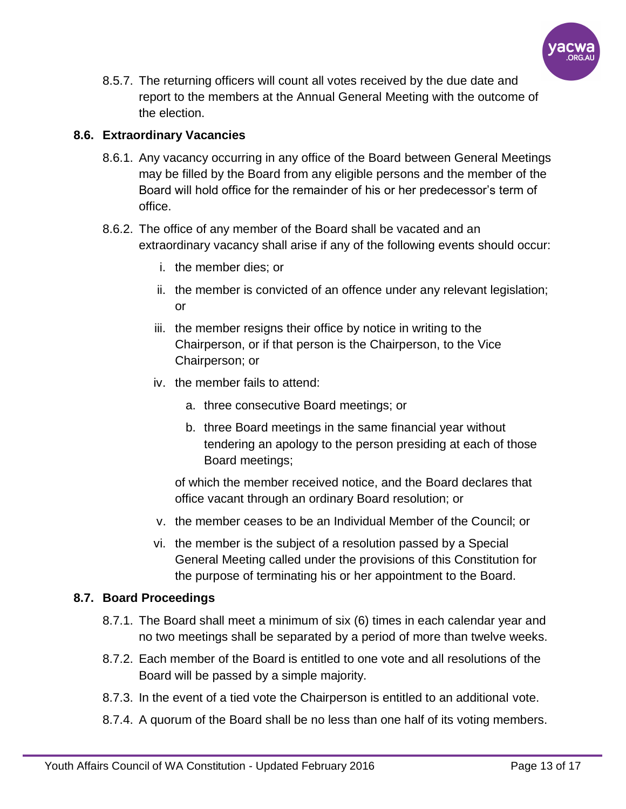

8.5.7. The returning officers will count all votes received by the due date and report to the members at the Annual General Meeting with the outcome of the election.

# **8.6. Extraordinary Vacancies**

- 8.6.1. Any vacancy occurring in any office of the Board between General Meetings may be filled by the Board from any eligible persons and the member of the Board will hold office for the remainder of his or her predecessor's term of office.
- 8.6.2. The office of any member of the Board shall be vacated and an extraordinary vacancy shall arise if any of the following events should occur:
	- i. the member dies; or
	- ii. the member is convicted of an offence under any relevant legislation; or
	- iii. the member resigns their office by notice in writing to the Chairperson, or if that person is the Chairperson, to the Vice Chairperson; or
	- iv. the member fails to attend:
		- a. three consecutive Board meetings; or
		- b. three Board meetings in the same financial year without tendering an apology to the person presiding at each of those Board meetings;

of which the member received notice, and the Board declares that office vacant through an ordinary Board resolution; or

- v. the member ceases to be an Individual Member of the Council; or
- vi. the member is the subject of a resolution passed by a Special General Meeting called under the provisions of this Constitution for the purpose of terminating his or her appointment to the Board.

# **8.7. Board Proceedings**

- 8.7.1. The Board shall meet a minimum of six (6) times in each calendar year and no two meetings shall be separated by a period of more than twelve weeks.
- 8.7.2. Each member of the Board is entitled to one vote and all resolutions of the Board will be passed by a simple majority.
- 8.7.3. In the event of a tied vote the Chairperson is entitled to an additional vote.
- 8.7.4. A quorum of the Board shall be no less than one half of its voting members.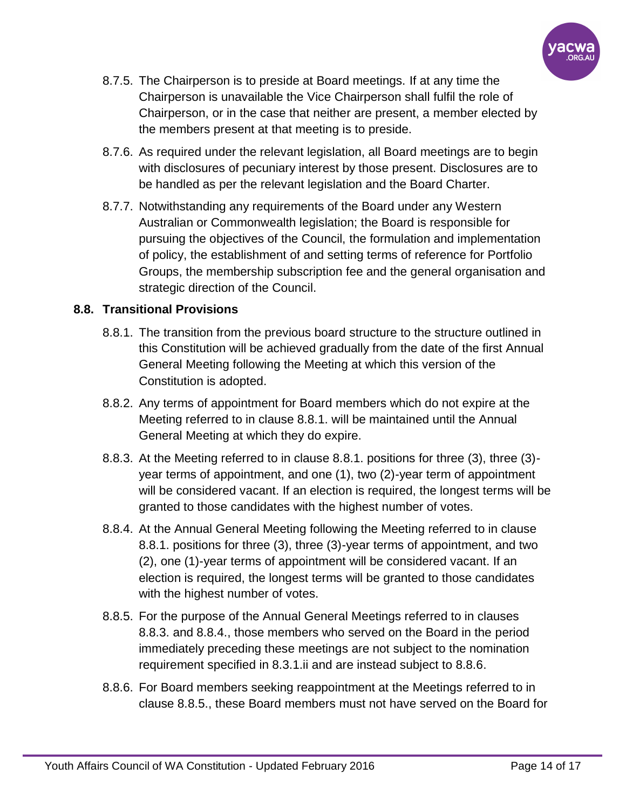

- 8.7.5. The Chairperson is to preside at Board meetings. If at any time the Chairperson is unavailable the Vice Chairperson shall fulfil the role of Chairperson, or in the case that neither are present, a member elected by the members present at that meeting is to preside.
- 8.7.6. As required under the relevant legislation, all Board meetings are to begin with disclosures of pecuniary interest by those present. Disclosures are to be handled as per the relevant legislation and the Board Charter.
- 8.7.7. Notwithstanding any requirements of the Board under any Western Australian or Commonwealth legislation; the Board is responsible for pursuing the objectives of the Council, the formulation and implementation of policy, the establishment of and setting terms of reference for Portfolio Groups, the membership subscription fee and the general organisation and strategic direction of the Council.

## **8.8. Transitional Provisions**

- 8.8.1. The transition from the previous board structure to the structure outlined in this Constitution will be achieved gradually from the date of the first Annual General Meeting following the Meeting at which this version of the Constitution is adopted.
- 8.8.2. Any terms of appointment for Board members which do not expire at the Meeting referred to in clause 8.8.1. will be maintained until the Annual General Meeting at which they do expire.
- 8.8.3. At the Meeting referred to in clause 8.8.1. positions for three (3), three (3) year terms of appointment, and one (1), two (2)-year term of appointment will be considered vacant. If an election is required, the longest terms will be granted to those candidates with the highest number of votes.
- 8.8.4. At the Annual General Meeting following the Meeting referred to in clause 8.8.1. positions for three (3), three (3)-year terms of appointment, and two (2), one (1)-year terms of appointment will be considered vacant. If an election is required, the longest terms will be granted to those candidates with the highest number of votes.
- 8.8.5. For the purpose of the Annual General Meetings referred to in clauses 8.8.3. and 8.8.4., those members who served on the Board in the period immediately preceding these meetings are not subject to the nomination requirement specified in 8.3.1.ii and are instead subject to 8.8.6.
- 8.8.6. For Board members seeking reappointment at the Meetings referred to in clause 8.8.5., these Board members must not have served on the Board for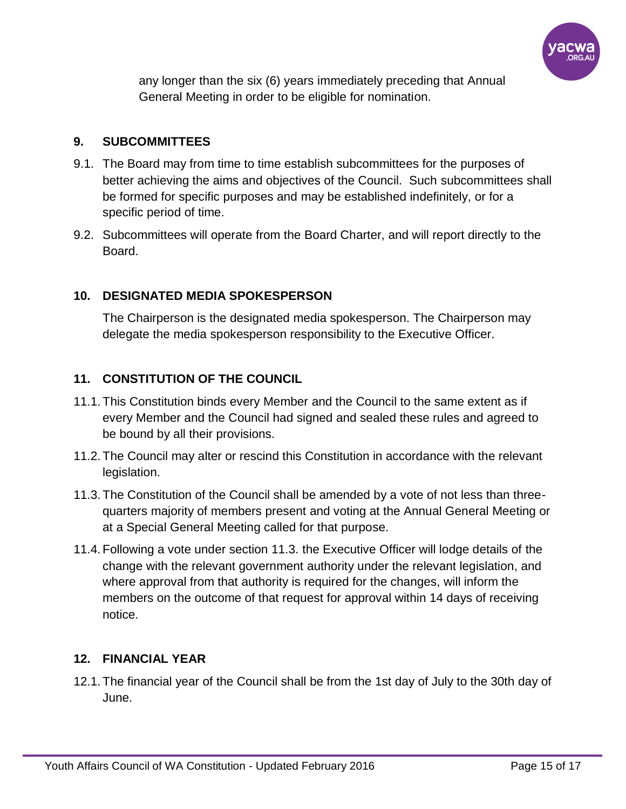

any longer than the six (6) years immediately preceding that Annual General Meeting in order to be eligible for nomination.

# **9. SUBCOMMITTEES**

- 9.1. The Board may from time to time establish subcommittees for the purposes of better achieving the aims and objectives of the Council. Such subcommittees shall be formed for specific purposes and may be established indefinitely, or for a specific period of time.
- 9.2. Subcommittees will operate from the Board Charter, and will report directly to the Board.

# **10. DESIGNATED MEDIA SPOKESPERSON**

The Chairperson is the designated media spokesperson. The Chairperson may delegate the media spokesperson responsibility to the Executive Officer.

# **11. CONSTITUTION OF THE COUNCIL**

- 11.1. This Constitution binds every Member and the Council to the same extent as if every Member and the Council had signed and sealed these rules and agreed to be bound by all their provisions.
- 11.2. The Council may alter or rescind this Constitution in accordance with the relevant legislation.
- 11.3. The Constitution of the Council shall be amended by a vote of not less than threequarters majority of members present and voting at the Annual General Meeting or at a Special General Meeting called for that purpose.
- 11.4. Following a vote under section 11.3. the Executive Officer will lodge details of the change with the relevant government authority under the relevant legislation, and where approval from that authority is required for the changes, will inform the members on the outcome of that request for approval within 14 days of receiving notice.

## **12. FINANCIAL YEAR**

12.1. The financial year of the Council shall be from the 1st day of July to the 30th day of June.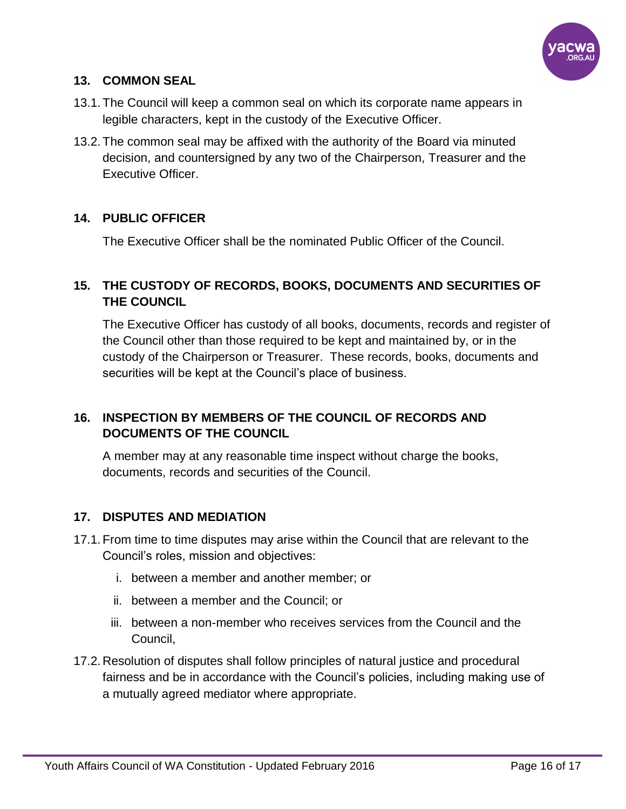

# **13. COMMON SEAL**

- 13.1. The Council will keep a common seal on which its corporate name appears in legible characters, kept in the custody of the Executive Officer.
- 13.2. The common seal may be affixed with the authority of the Board via minuted decision, and countersigned by any two of the Chairperson, Treasurer and the Executive Officer.

## **14. PUBLIC OFFICER**

The Executive Officer shall be the nominated Public Officer of the Council.

# **15. THE CUSTODY OF RECORDS, BOOKS, DOCUMENTS AND SECURITIES OF THE COUNCIL**

The Executive Officer has custody of all books, documents, records and register of the Council other than those required to be kept and maintained by, or in the custody of the Chairperson or Treasurer. These records, books, documents and securities will be kept at the Council's place of business.

# **16. INSPECTION BY MEMBERS OF THE COUNCIL OF RECORDS AND DOCUMENTS OF THE COUNCIL**

A member may at any reasonable time inspect without charge the books, documents, records and securities of the Council.

## **17. DISPUTES AND MEDIATION**

- 17.1. From time to time disputes may arise within the Council that are relevant to the Council's roles, mission and objectives:
	- i. between a member and another member; or
	- ii. between a member and the Council; or
	- iii. between a non-member who receives services from the Council and the Council,
- 17.2. Resolution of disputes shall follow principles of natural justice and procedural fairness and be in accordance with the Council's policies, including making use of a mutually agreed mediator where appropriate.